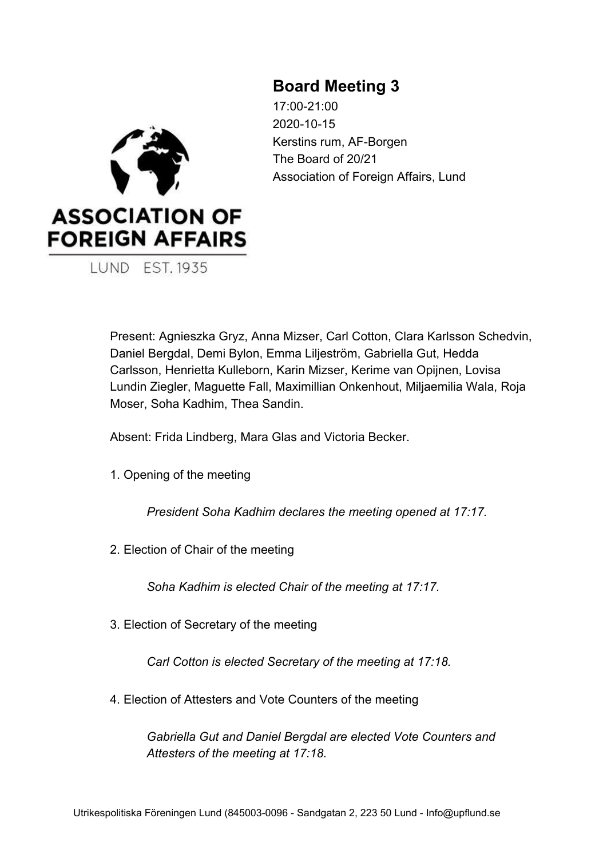# **Board Meeting 3**

17:00-21:00 2020-10-15 Kerstins rum, AF-Borgen The Board of 20/21 Association of Foreign Affairs, Lund



**LUND EST. 1935** 

Present: Agnieszka Gryz, Anna Mizser, Carl Cotton, Clara Karlsson Schedvin, Daniel Bergdal, Demi Bylon, Emma Liljeström, Gabriella Gut, Hedda Carlsson, Henrietta Kulleborn, Karin Mizser, Kerime van Opijnen, Lovisa Lundin Ziegler, Maguette Fall, Maximillian Onkenhout, Miljaemilia Wala, Roja Moser, Soha Kadhim, Thea Sandin.

Absent: Frida Lindberg, Mara Glas and Victoria Becker.

1. Opening of the meeting

*President Soha Kadhim declares the meeting opened at 17:17.*

2. Election of Chair of the meeting

*Soha Kadhim is elected Chair of the meeting at 17:17.*

3. Election of Secretary of the meeting

*Carl Cotton is elected Secretary of the meeting at 17:18.*

4. Election of Attesters and Vote Counters of the meeting

*Gabriella Gut and Daniel Bergdal are elected Vote Counters and Attesters of the meeting at 17:18.*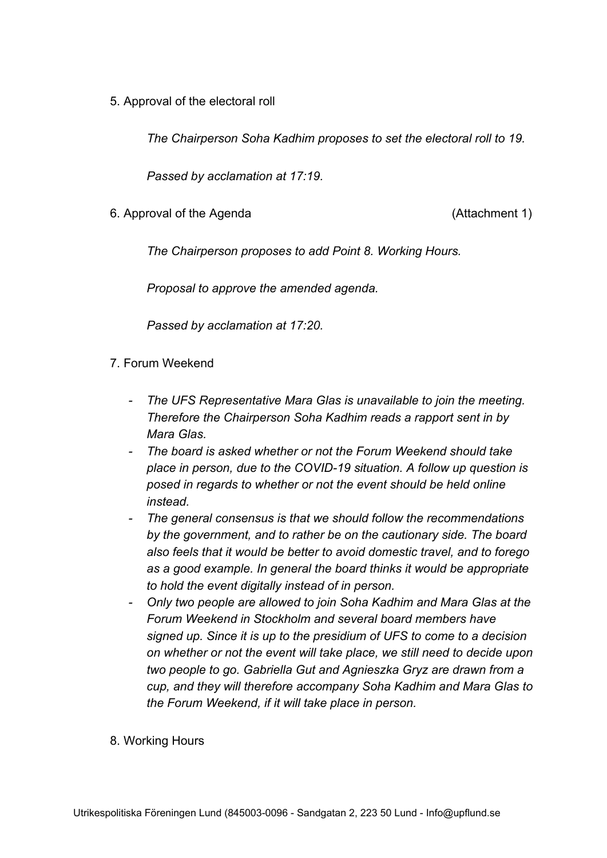5. Approval of the electoral roll

*The Chairperson Soha Kadhim proposes to set the electoral roll to 19.*

*Passed by acclamation at 17:19.*

6. Approval of the Agenda (Attachment 1)

*The Chairperson proposes to add Point 8. Working Hours.*

*Proposal to approve the amended agenda.*

*Passed by acclamation at 17:20.*

### 7. Forum Weekend

- *- The UFS Representative Mara Glas is unavailable to join the meeting. Therefore the Chairperson Soha Kadhim reads a rapport sent in by Mara Glas.*
- *- The board is asked whether or not the Forum Weekend should take place in person, due to the COVID-19 situation. A follow up question is posed in regards to whether or not the event should be held online instead.*
- *- The general consensus is that we should follow the recommendations by the government, and to rather be on the cautionary side. The board also feels that it would be better to avoid domestic travel, and to forego as a good example. In general the board thinks it would be appropriate to hold the event digitally instead of in person.*
- *- Only two people are allowed to join Soha Kadhim and Mara Glas at the Forum Weekend in Stockholm and several board members have signed up. Since it is up to the presidium of UFS to come to a decision on whether or not the event will take place, we still need to decide upon two people to go. Gabriella Gut and Agnieszka Gryz are drawn from a cup, and they will therefore accompany Soha Kadhim and Mara Glas to the Forum Weekend, if it will take place in person.*
- 8. Working Hours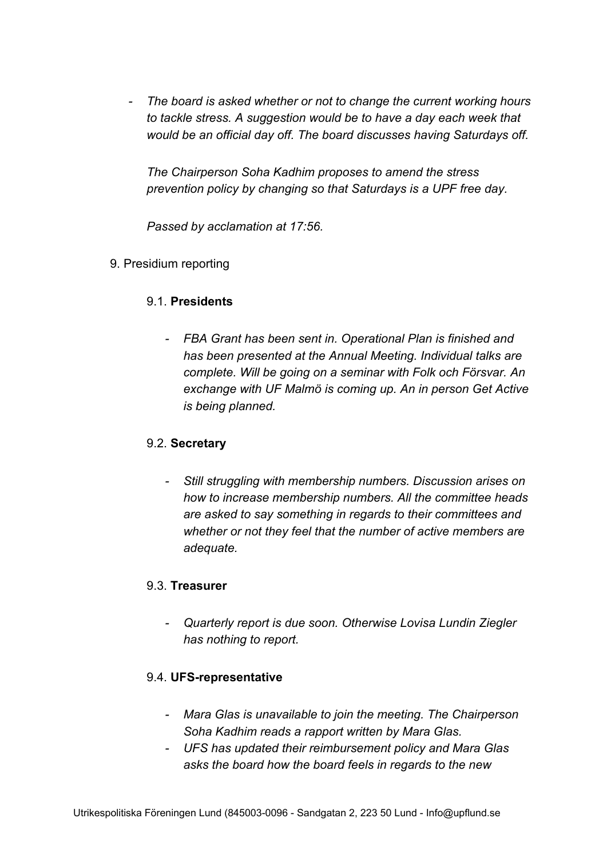*- The board is asked whether or not to change the current working hours to tackle stress. A suggestion would be to have a day each week that would be an official day off. The board discusses having Saturdays off.*

*The Chairperson Soha Kadhim proposes to amend the stress prevention policy by changing so that Saturdays is a UPF free day.*

*Passed by acclamation at 17:56.*

9. Presidium reporting

# 9.1. **Presidents**

*- FBA Grant has been sent in. Operational Plan is finished and has been presented at the Annual Meeting. Individual talks are complete. Will be going on a seminar with Folk och Försvar. An exchange with UF Malmö is coming up. An in person Get Active is being planned.*

### 9.2. **Secretary**

*- Still struggling with membership numbers. Discussion arises on how to increase membership numbers. All the committee heads are asked to say something in regards to their committees and whether or not they feel that the number of active members are adequate.*

### 9.3. **Treasurer**

*- Quarterly report is due soon. Otherwise Lovisa Lundin Ziegler has nothing to report.*

# 9.4. **UFS-representative**

- *- Mara Glas is unavailable to join the meeting. The Chairperson Soha Kadhim reads a rapport written by Mara Glas.*
- *- UFS has updated their reimbursement policy and Mara Glas asks the board how the board feels in regards to the new*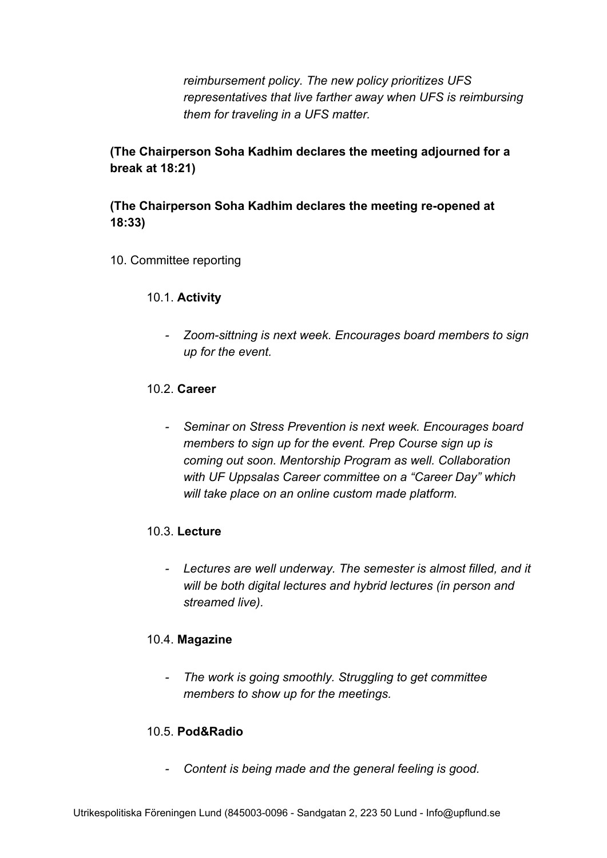*reimbursement policy. The new policy prioritizes UFS representatives that live farther away when UFS is reimbursing them for traveling in a UFS matter.*

**(The Chairperson Soha Kadhim declares the meeting adjourned for a break at 18:21)**

# **(The Chairperson Soha Kadhim declares the meeting re-opened at 18:33)**

- 10. Committee reporting
	- 10.1. **Activity**
		- *- Zoom-sittning is next week. Encourages board members to sign up for the event.*

### 10.2. **Career**

*- Seminar on Stress Prevention is next week. Encourages board members to sign up for the event. Prep Course sign up is coming out soon. Mentorship Program as well. Collaboration with UF Uppsalas Career committee on a "Career Day" which will take place on an online custom made platform.*

# 10.3. **Lecture**

*- Lectures are well underway. The semester is almost filled, and it will be both digital lectures and hybrid lectures (in person and streamed live).*

### 10.4. **Magazine**

*- The work is going smoothly. Struggling to get committee members to show up for the meetings.*

# 10.5. **Pod&Radio**

*- Content is being made and the general feeling is good.*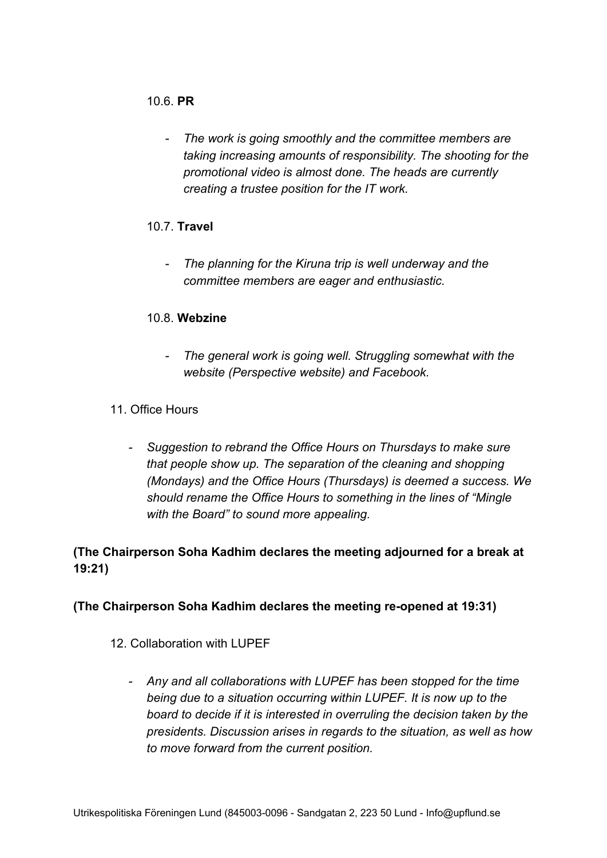### 10.6. **PR**

*- The work is going smoothly and the committee members are taking increasing amounts of responsibility. The shooting for the promotional video is almost done. The heads are currently creating a trustee position for the IT work.*

# 10.7. **Travel**

*- The planning for the Kiruna trip is well underway and the committee members are eager and enthusiastic.*

# 10.8. **Webzine**

- *- The general work is going well. Struggling somewhat with the website (Perspective website) and Facebook.*
- 11. Office Hours
	- *- Suggestion to rebrand the Office Hours on Thursdays to make sure that people show up. The separation of the cleaning and shopping (Mondays) and the Office Hours (Thursdays) is deemed a success. We should rename the Office Hours to something in the lines of "Mingle with the Board" to sound more appealing.*

# **(The Chairperson Soha Kadhim declares the meeting adjourned for a break at 19:21)**

# **(The Chairperson Soha Kadhim declares the meeting re-opened at 19:31)**

# 12. Collaboration with LUPEF

*- Any and all collaborations with LUPEF has been stopped for the time being due to a situation occurring within LUPEF. It is now up to the board to decide if it is interested in overruling the decision taken by the presidents. Discussion arises in regards to the situation, as well as how to move forward from the current position.*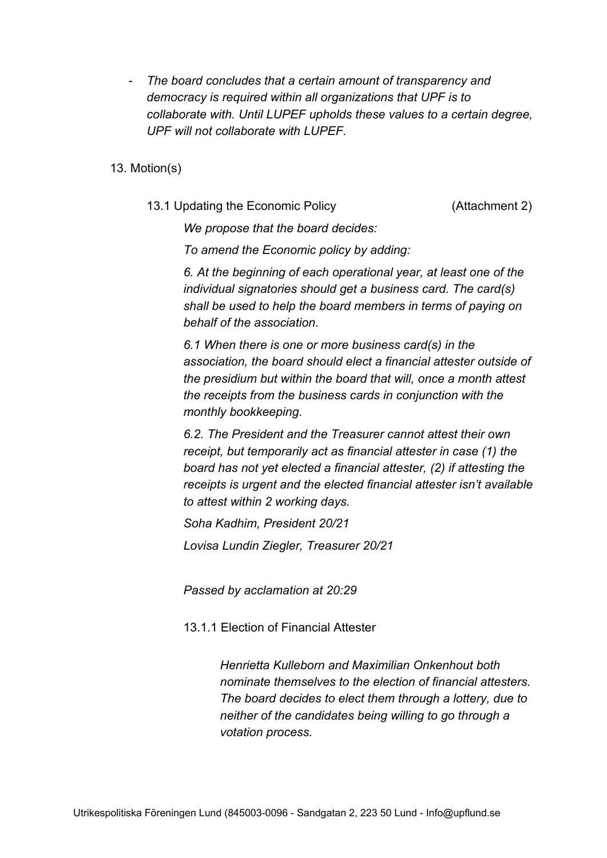- *- The board concludes that a certain amount of transparency and democracy is required within all organizations that UPF is to collaborate with. Until LUPEF upholds these values to a certain degree, UPF will not collaborate with LUPEF.*
- 13. Motion(s)
	- 13.1 Updating the Economic Policy (Attachment 2)

*We propose that the board decides:*

*To amend the Economic policy by adding:*

*6. At the beginning of each operational year, at least one of the individual signatories should get a business card. The card(s) shall be used to help the board members in terms of paying on behalf of the association.*

*6.1 When there is one or more business card(s) in the association, the board should elect a financial attester outside of the presidium but within the board that will, once a month attest the receipts from the business cards in conjunction with the monthly bookkeeping.*

*6.2. The President and the Treasurer cannot attest their own receipt, but temporarily act as financial attester in case (1) the board has not yet elected a financial attester, (2) if attesting the receipts is urgent and the elected financial attester isn't available to attest within 2 working days.*

*Soha Kadhim, President 20/21 Lovisa Lundin Ziegler, Treasurer 20/21*

*Passed by acclamation at 20:29*

13.1.1 Election of Financial Attester

*Henrietta Kulleborn and Maximilian Onkenhout both nominate themselves to the election of financial attesters. The board decides to elect them through a lottery, due to neither of the candidates being willing to go through a votation process.*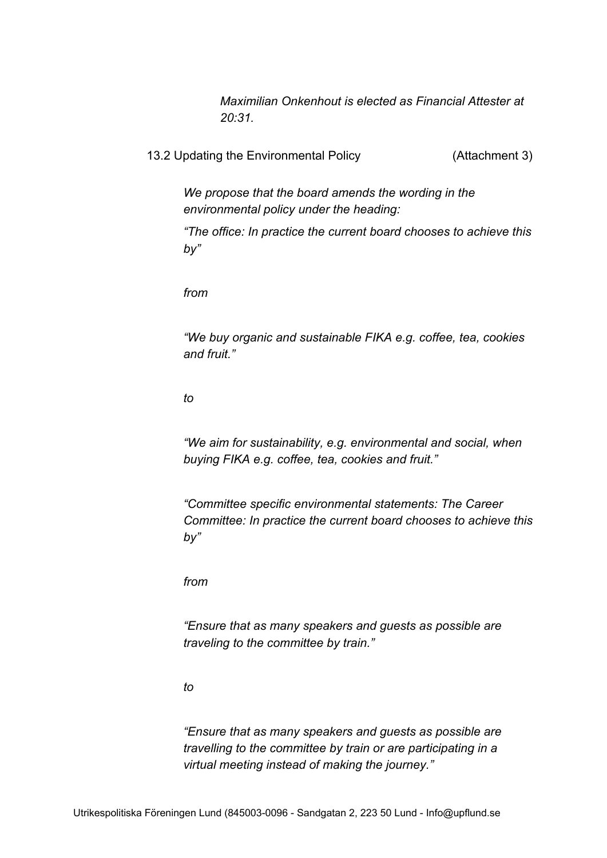*Maximilian Onkenhout is elected as Financial Attester at 20:31.*

13.2 Updating the Environmental Policy (Attachment 3)

*We propose that the board amends the wording in the environmental policy under the heading:*

*"The office: In practice the current board chooses to achieve this by"*

*from*

*"We buy organic and sustainable FIKA e.g. coffee, tea, cookies and fruit."*

*to*

*"We aim for sustainability, e.g. environmental and social, when buying FIKA e.g. coffee, tea, cookies and fruit."*

*"Committee specific environmental statements: The Career Committee: In practice the current board chooses to achieve this by"*

*from*

*"Ensure that as many speakers and guests as possible are traveling to the committee by train."*

*to*

*"Ensure that as many speakers and guests as possible are travelling to the committee by train or are participating in a virtual meeting instead of making the journey."*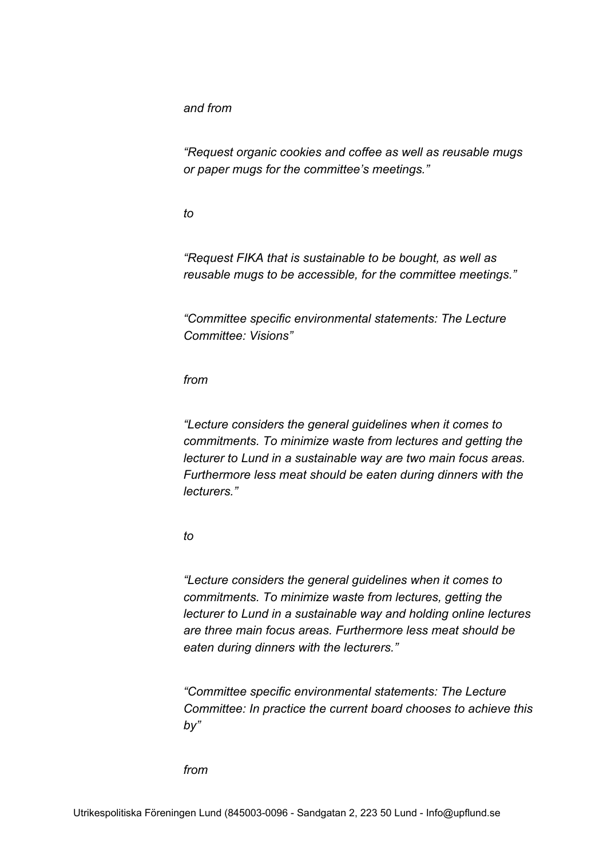*and from*

*"Request organic cookies and coffee as well as reusable mugs or paper mugs for the committee's meetings."*

*to*

*"Request FIKA that is sustainable to be bought, as well as reusable mugs to be accessible, for the committee meetings."*

*"Committee specific environmental statements: The Lecture Committee: Visions"*

*from*

*"Lecture considers the general guidelines when it comes to commitments. To minimize waste from lectures and getting the lecturer to Lund in a sustainable way are two main focus areas. Furthermore less meat should be eaten during dinners with the lecturers."*

*to*

*"Lecture considers the general guidelines when it comes to commitments. To minimize waste from lectures, getting the lecturer to Lund in a sustainable way and holding online lectures are three main focus areas. Furthermore less meat should be eaten during dinners with the lecturers."*

*"Committee specific environmental statements: The Lecture Committee: In practice the current board chooses to achieve this by"*

*from*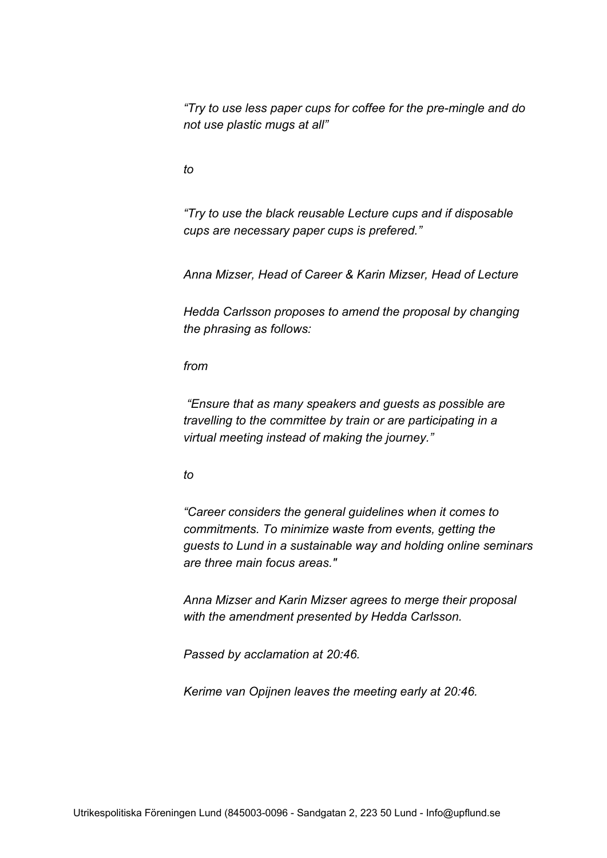*"Try to use less paper cups for coffee for the pre-mingle and do not use plastic mugs at all"*

*to*

*"Try to use the black reusable Lecture cups and if disposable cups are necessary paper cups is prefered."*

*Anna Mizser, Head of Career & Karin Mizser, Head of Lecture*

*Hedda Carlsson proposes to amend the proposal by changing the phrasing as follows:*

*from*

 *"Ensure that as many speakers and guests as possible are travelling to the committee by train or are participating in a virtual meeting instead of making the journey."*

#### *to*

*"Career considers the general guidelines when it comes to commitments. To minimize waste from events, getting the guests to Lund in a sustainable way and holding online seminars are three main focus areas."*

*Anna Mizser and Karin Mizser agrees to merge their proposal with the amendment presented by Hedda Carlsson.*

*Passed by acclamation at 20:46.*

*Kerime van Opijnen leaves the meeting early at 20:46.*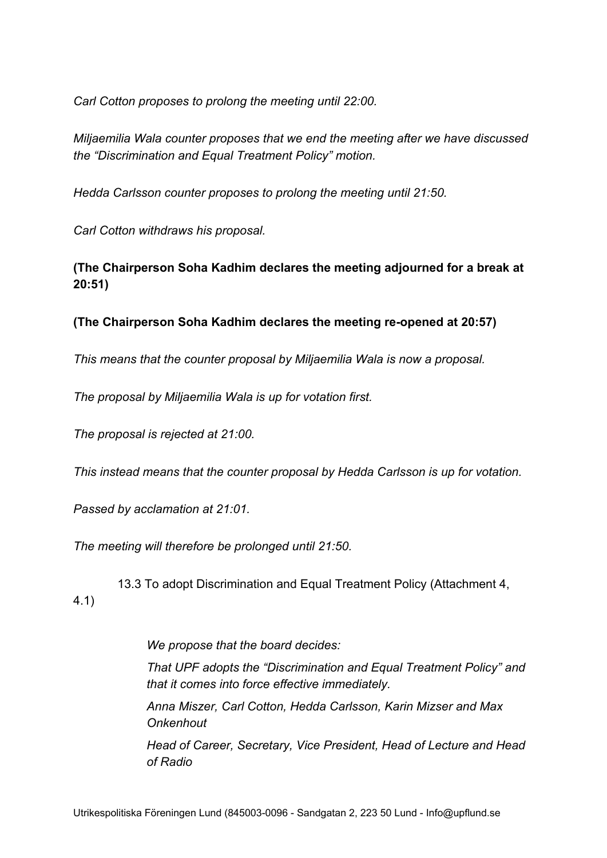*Carl Cotton proposes to prolong the meeting until 22:00.*

*Miljaemilia Wala counter proposes that we end the meeting after we have discussed the "Discrimination and Equal Treatment Policy" motion.*

*Hedda Carlsson counter proposes to prolong the meeting until 21:50.*

*Carl Cotton withdraws his proposal.*

**(The Chairperson Soha Kadhim declares the meeting adjourned for a break at 20:51)**

**(The Chairperson Soha Kadhim declares the meeting re-opened at 20:57)**

*This means that the counter proposal by Miljaemilia Wala is now a proposal.*

*The proposal by Miljaemilia Wala is up for votation first.*

*The proposal is rejected at 21:00.*

*This instead means that the counter proposal by Hedda Carlsson is up for votation.*

*Passed by acclamation at 21:01.*

*The meeting will therefore be prolonged until 21:50.*

 13.3 To adopt Discrimination and Equal Treatment Policy (Attachment 4, 4.1)

*We propose that the board decides:*

*That UPF adopts the "Discrimination and Equal Treatment Policy" and that it comes into force effective immediately.*

*Anna Miszer, Carl Cotton, Hedda Carlsson, Karin Mizser and Max Onkenhout*

*Head of Career, Secretary, Vice President, Head of Lecture and Head of Radio*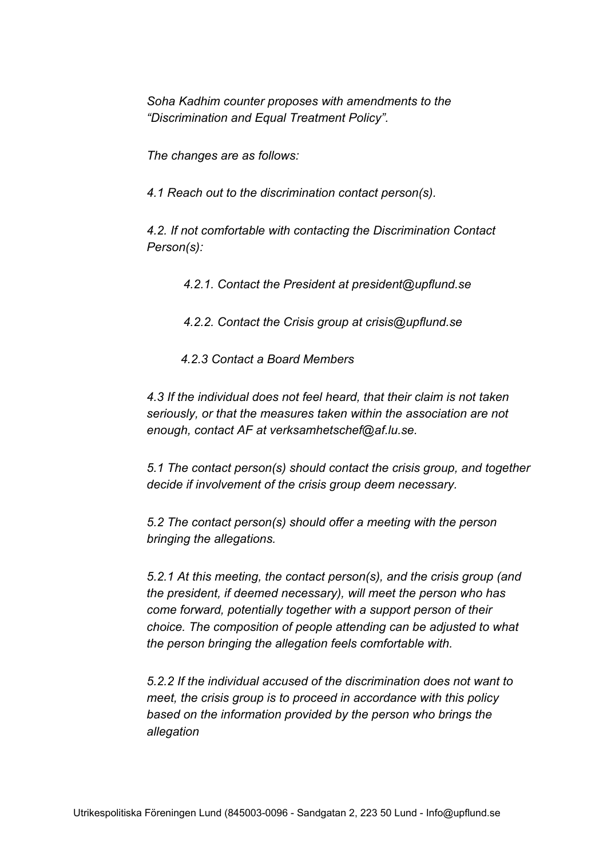*Soha Kadhim counter proposes with amendments to the "Discrimination and Equal Treatment Policy".*

*The changes are as follows:*

*4.1 Reach out to the discrimination contact person(s).*

*4.2. If not comfortable with contacting the Discrimination Contact Person(s):*

*4.2.1. Contact the President at president@upflund.se*

*4.2.2. Contact the Crisis group at crisis@upflund.se*

 *4.2.3 Contact a Board Members*

*4.3 If the individual does not feel heard, that their claim is not taken seriously, or that the measures taken within the association are not enough, contact AF at verksamhetschef@af.lu.se.*

*5.1 The contact person(s) should contact the crisis group, and together decide if involvement of the crisis group deem necessary.*

*5.2 The contact person(s) should offer a meeting with the person bringing the allegations.*

*5.2.1 At this meeting, the contact person(s), and the crisis group (and the president, if deemed necessary), will meet the person who has come forward, potentially together with a support person of their choice. The composition of people attending can be adjusted to what the person bringing the allegation feels comfortable with.*

*5.2.2 If the individual accused of the discrimination does not want to meet, the crisis group is to proceed in accordance with this policy based on the information provided by the person who brings the allegation*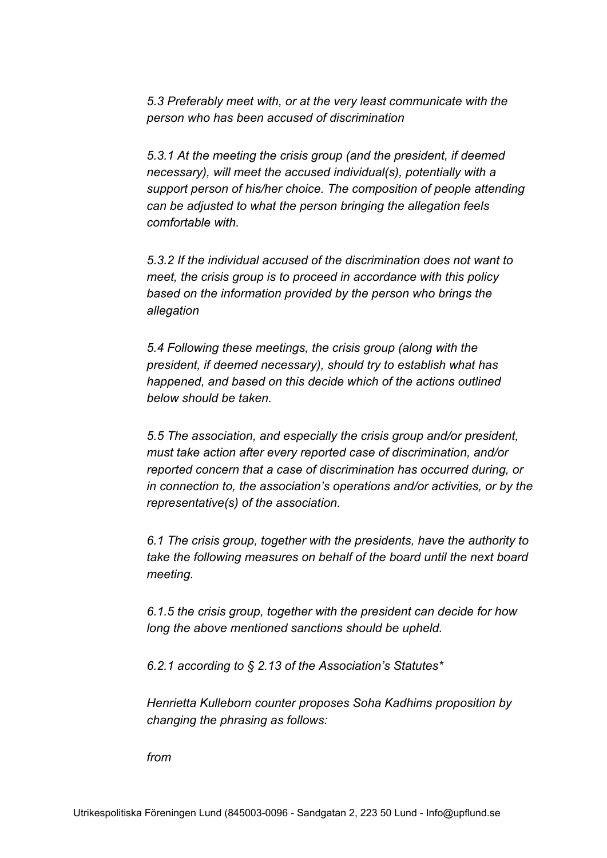*5.3 Preferably meet with, or at the very least communicate with the person who has been accused of discrimination*

*5.3.1 At the meeting the crisis group (and the president, if deemed necessary), will meet the accused individual(s), potentially with a support person of his/her choice. The composition of people attending can be adjusted to what the person bringing the allegation feels comfortable with.*

*5.3.2 If the individual accused of the discrimination does not want to meet, the crisis group is to proceed in accordance with this policy based on the information provided by the person who brings the allegation*

*5.4 Following these meetings, the crisis group (along with the president, if deemed necessary), should try to establish what has happened, and based on this decide which of the actions outlined below should be taken.*

*5.5 The association, and especially the crisis group and/or president, must take action after every reported case of discrimination, and/or reported concern that a case of discrimination has occurred during, or in connection to, the association's operations and/or activities, or by the representative(s) of the association.*

*6.1 The crisis group, together with the presidents, have the authority to take the following measures on behalf of the board until the next board meeting.*

*6.1.5 the crisis group, together with the president can decide for how long the above mentioned sanctions should be upheld.*

*6.2.1 according to § 2.13 of the Association's Statutes\**

*Henrietta Kulleborn counter proposes Soha Kadhims proposition by changing the phrasing as follows:*

*from*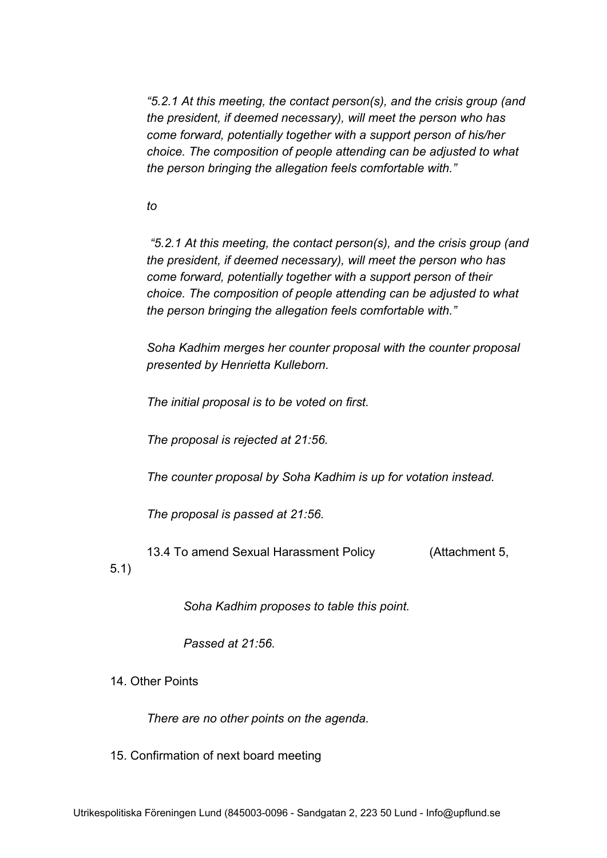*"5.2.1 At this meeting, the contact person(s), and the crisis group (and the president, if deemed necessary), will meet the person who has come forward, potentially together with a support person of his/her choice. The composition of people attending can be adjusted to what the person bringing the allegation feels comfortable with."*

### *to*

 *"5.2.1 At this meeting, the contact person(s), and the crisis group (and the president, if deemed necessary), will meet the person who has come forward, potentially together with a support person of their choice. The composition of people attending can be adjusted to what the person bringing the allegation feels comfortable with."*

*Soha Kadhim merges her counter proposal with the counter proposal presented by Henrietta Kulleborn.*

*The initial proposal is to be voted on first.*

*The proposal is rejected at 21:56.*

*The counter proposal by Soha Kadhim is up for votation instead.*

*The proposal is passed at 21:56.*

13.4 To amend Sexual Harassment Policy (Attachment 5,

5.1)

*Soha Kadhim proposes to table this point.*

*Passed at 21:56.*

14. Other Points

*There are no other points on the agenda.*

15. Confirmation of next board meeting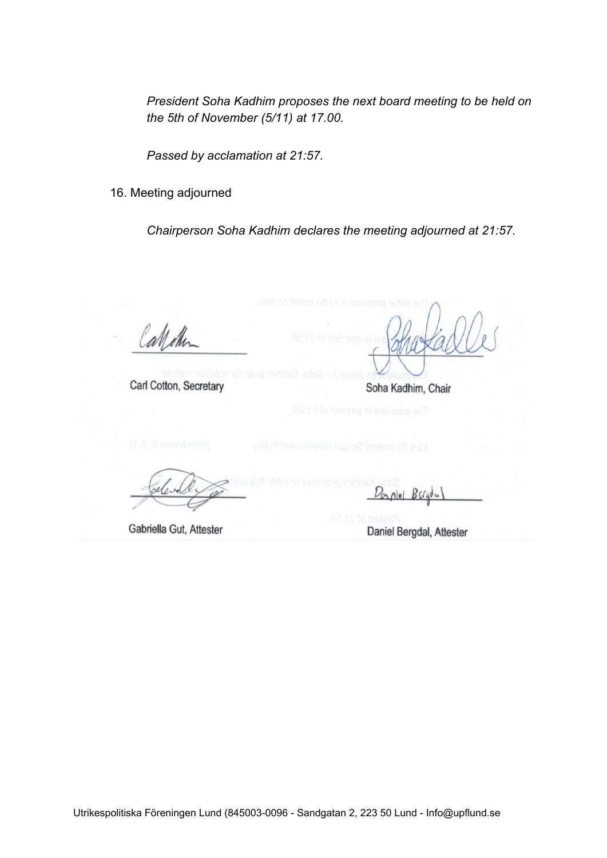*President Soha Kadhim proposes the next board meeting to be held on the 5th of November (5/11) at 17.00.*

*Passed by acclamation at 21:57.*

16. Meeting adjourned

*Chairperson Soha Kadhim declares the meeting adjourned at 21:57.*

Calletin

Carl Cotton, Secretary

Soha Kadhim, Chair

Gabriella Gut, Attester

 $BCa<sub>o</sub>$  $N$ ul

Daniel Bergdal, Attester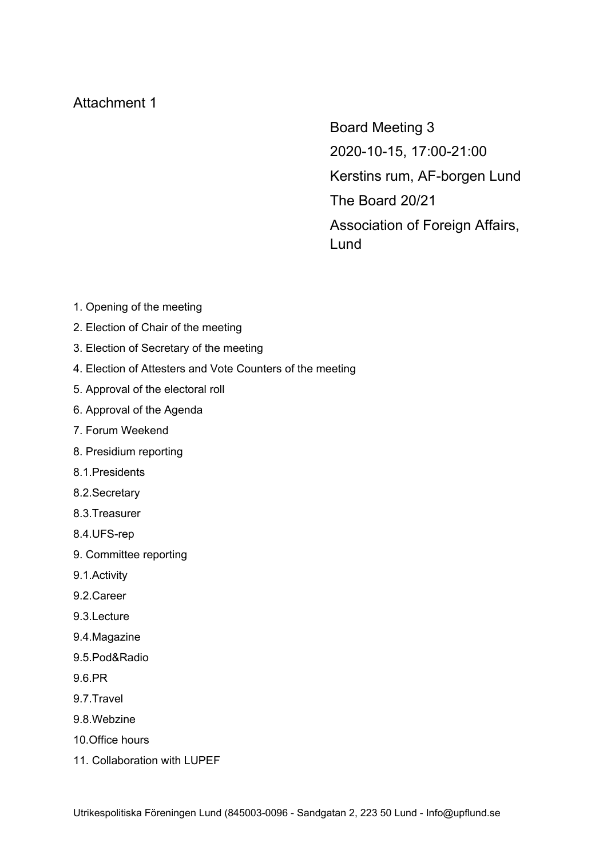# Attachment 1

Board Meeting 3 2020-10-15, 17:00-21:00 Kerstins rum, AF-borgen Lund The Board 20/21 Association of Foreign Affairs, Lund

- 1. Opening of the meeting
- 2. Election of Chair of the meeting
- 3. Election of Secretary of the meeting
- 4. Election of Attesters and Vote Counters of the meeting
- 5. Approval of the electoral roll
- 6. Approval of the Agenda
- 7. Forum Weekend
- 8. Presidium reporting
- 8.1.Presidents
- 8.2.Secretary
- 8.3.Treasurer
- 8.4.UFS-rep
- 9. Committee reporting
- 9.1.Activity
- 9.2.Career
- 9.3.Lecture
- 9.4.Magazine
- 9.5.Pod&Radio
- 9.6.PR
- 9.7.Travel
- 9.8.Webzine
- 10.Office hours
- 11. Collaboration with LUPEF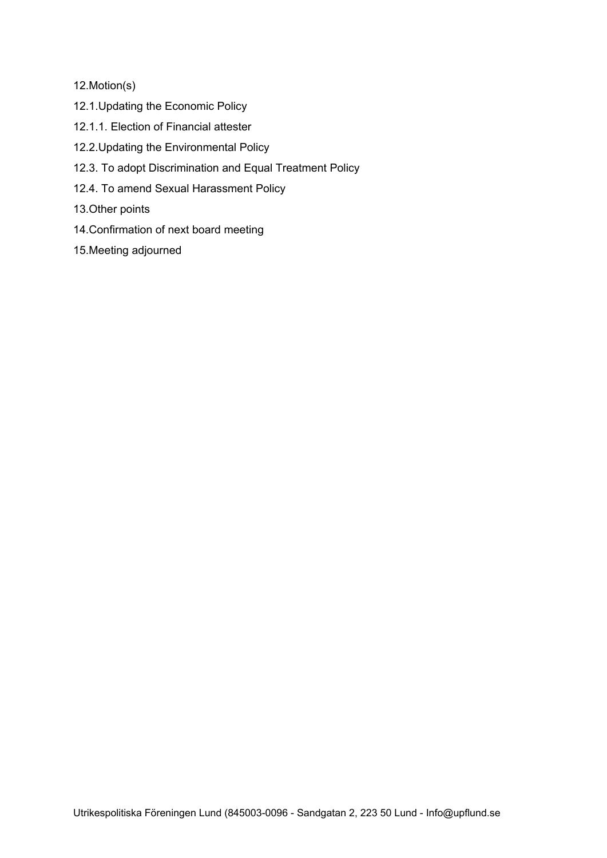12.Motion(s)

- 12.1.Updating the Economic Policy
- 12.1.1. Election of Financial attester
- 12.2.Updating the Environmental Policy
- 12.3. To adopt Discrimination and Equal Treatment Policy
- 12.4. To amend Sexual Harassment Policy
- 13.Other points
- 14.Confirmation of next board meeting
- 15.Meeting adjourned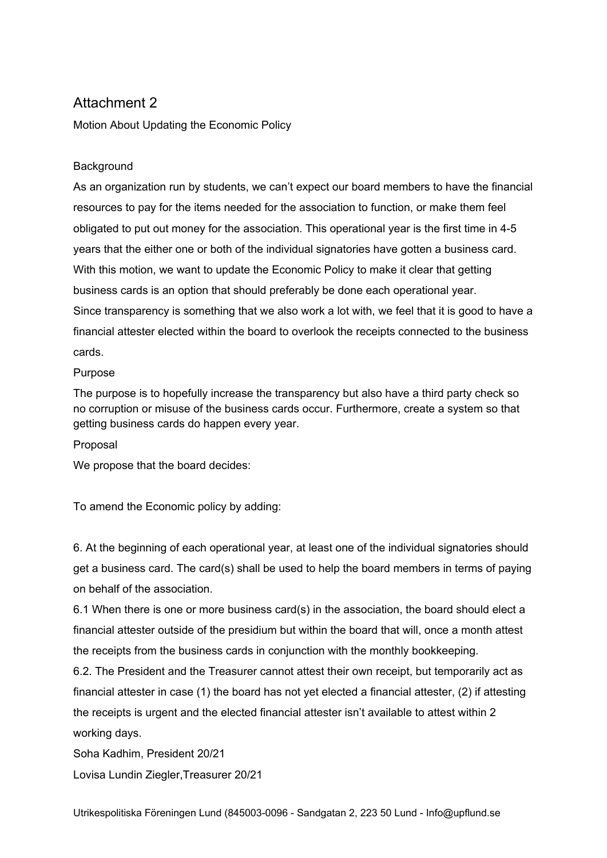# Attachment 2

Motion About Updating the Economic Policy

### **Background**

As an organization run by students, we can't expect our board members to have the financial resources to pay for the items needed for the association to function, or make them feel obligated to put out money for the association. This operational year is the first time in 4-5 years that the either one or both of the individual signatories have gotten a business card. With this motion, we want to update the Economic Policy to make it clear that getting business cards is an option that should preferably be done each operational year. Since transparency is something that we also work a lot with, we feel that it is good to have a financial attester elected within the board to overlook the receipts connected to the business cards.

Purpose

The purpose is to hopefully increase the transparency but also have a third party check so no corruption or misuse of the business cards occur. Furthermore, create a system so that getting business cards do happen every year.

Proposal

We propose that the board decides:

To amend the Economic policy by adding:

6. At the beginning of each operational year, at least one of the individual signatories should get a business card. The card(s) shall be used to help the board members in terms of paying on behalf of the association.

6.1 When there is one or more business card(s) in the association, the board should elect a financial attester outside of the presidium but within the board that will, once a month attest the receipts from the business cards in conjunction with the monthly bookkeeping.

6.2. The President and the Treasurer cannot attest their own receipt, but temporarily act as financial attester in case (1) the board has not yet elected a financial attester, (2) if attesting the receipts is urgent and the elected financial attester isn't available to attest within 2 working days.

Soha Kadhim, President 20/21

Lovisa Lundin Ziegler,Treasurer 20/21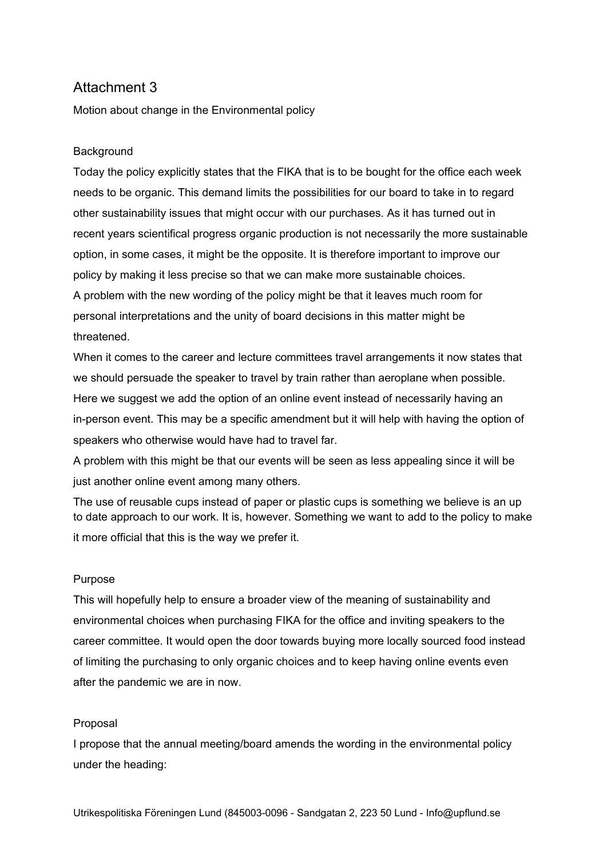# Attachment 3

Motion about change in the Environmental policy

#### **Background**

Today the policy explicitly states that the FIKA that is to be bought for the office each week needs to be organic. This demand limits the possibilities for our board to take in to regard other sustainability issues that might occur with our purchases. As it has turned out in recent years scientifical progress organic production is not necessarily the more sustainable option, in some cases, it might be the opposite. It is therefore important to improve our policy by making it less precise so that we can make more sustainable choices. A problem with the new wording of the policy might be that it leaves much room for personal interpretations and the unity of board decisions in this matter might be threatened.

When it comes to the career and lecture committees travel arrangements it now states that we should persuade the speaker to travel by train rather than aeroplane when possible. Here we suggest we add the option of an online event instead of necessarily having an in-person event. This may be a specific amendment but it will help with having the option of speakers who otherwise would have had to travel far.

A problem with this might be that our events will be seen as less appealing since it will be just another online event among many others.

The use of reusable cups instead of paper or plastic cups is something we believe is an up to date approach to our work. It is, however. Something we want to add to the policy to make it more official that this is the way we prefer it.

#### Purpose

This will hopefully help to ensure a broader view of the meaning of sustainability and environmental choices when purchasing FIKA for the office and inviting speakers to the career committee. It would open the door towards buying more locally sourced food instead of limiting the purchasing to only organic choices and to keep having online events even after the pandemic we are in now.

#### Proposal

I propose that the annual meeting/board amends the wording in the environmental policy under the heading: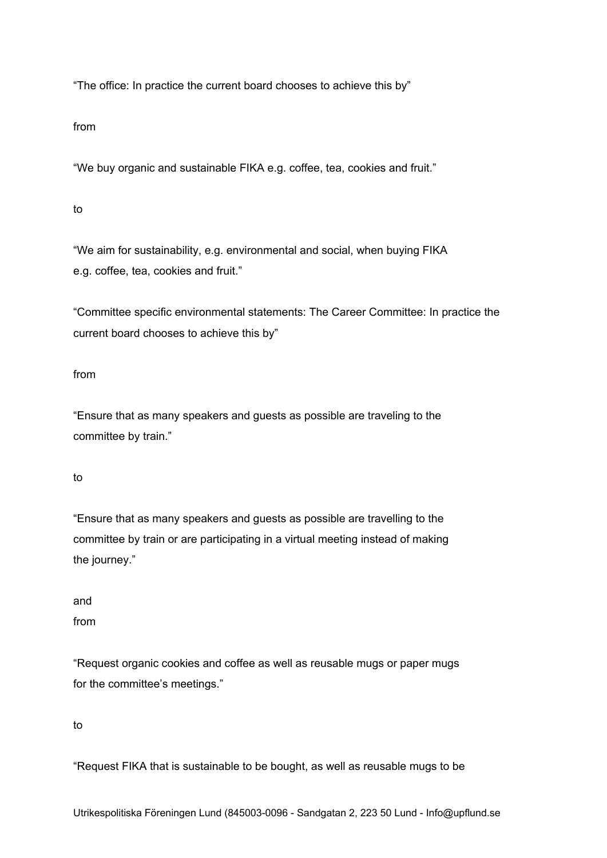"The office: In practice the current board chooses to achieve this by"

from

"We buy organic and sustainable FIKA e.g. coffee, tea, cookies and fruit."

to

"We aim for sustainability, e.g. environmental and social, when buying FIKA e.g. coffee, tea, cookies and fruit."

"Committee specific environmental statements: The Career Committee: In practice the current board chooses to achieve this by"

from

"Ensure that as many speakers and guests as possible are traveling to the committee by train."

to

"Ensure that as many speakers and guests as possible are travelling to the committee by train or are participating in a virtual meeting instead of making the journey."

and

from

"Request organic cookies and coffee as well as reusable mugs or paper mugs for the committee's meetings."

to

"Request FIKA that is sustainable to be bought, as well as reusable mugs to be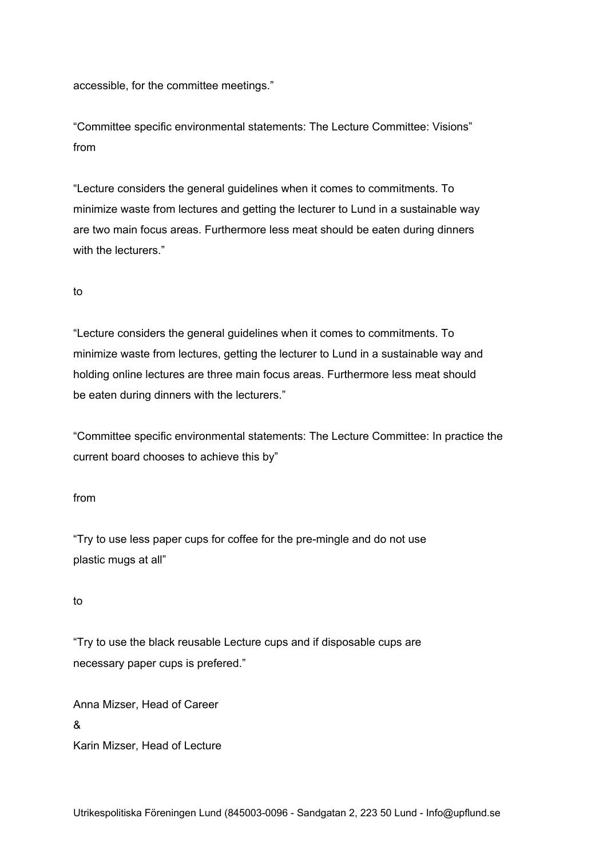accessible, for the committee meetings."

"Committee specific environmental statements: The Lecture Committee: Visions" from

"Lecture considers the general guidelines when it comes to commitments. To minimize waste from lectures and getting the lecturer to Lund in a sustainable way are two main focus areas. Furthermore less meat should be eaten during dinners with the lecturers."

#### to

"Lecture considers the general guidelines when it comes to commitments. To minimize waste from lectures, getting the lecturer to Lund in a sustainable way and holding online lectures are three main focus areas. Furthermore less meat should be eaten during dinners with the lecturers."

"Committee specific environmental statements: The Lecture Committee: In practice the current board chooses to achieve this by"

#### from

"Try to use less paper cups for coffee for the pre-mingle and do not use plastic mugs at all"

#### to

"Try to use the black reusable Lecture cups and if disposable cups are necessary paper cups is prefered."

Anna Mizser, Head of Career & Karin Mizser, Head of Lecture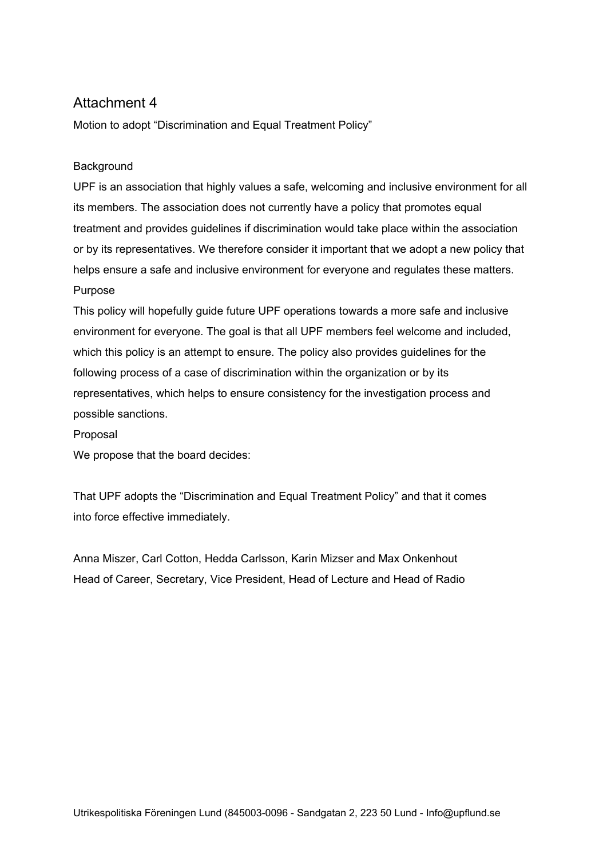# Attachment 4

Motion to adopt "Discrimination and Equal Treatment Policy"

#### **Background**

UPF is an association that highly values a safe, welcoming and inclusive environment for all its members. The association does not currently have a policy that promotes equal treatment and provides guidelines if discrimination would take place within the association or by its representatives. We therefore consider it important that we adopt a new policy that helps ensure a safe and inclusive environment for everyone and regulates these matters. Purpose

This policy will hopefully guide future UPF operations towards a more safe and inclusive environment for everyone. The goal is that all UPF members feel welcome and included, which this policy is an attempt to ensure. The policy also provides guidelines for the following process of a case of discrimination within the organization or by its representatives, which helps to ensure consistency for the investigation process and possible sanctions.

Proposal

We propose that the board decides:

That UPF adopts the "Discrimination and Equal Treatment Policy" and that it comes into force effective immediately.

Anna Miszer, Carl Cotton, Hedda Carlsson, Karin Mizser and Max Onkenhout Head of Career, Secretary, Vice President, Head of Lecture and Head of Radio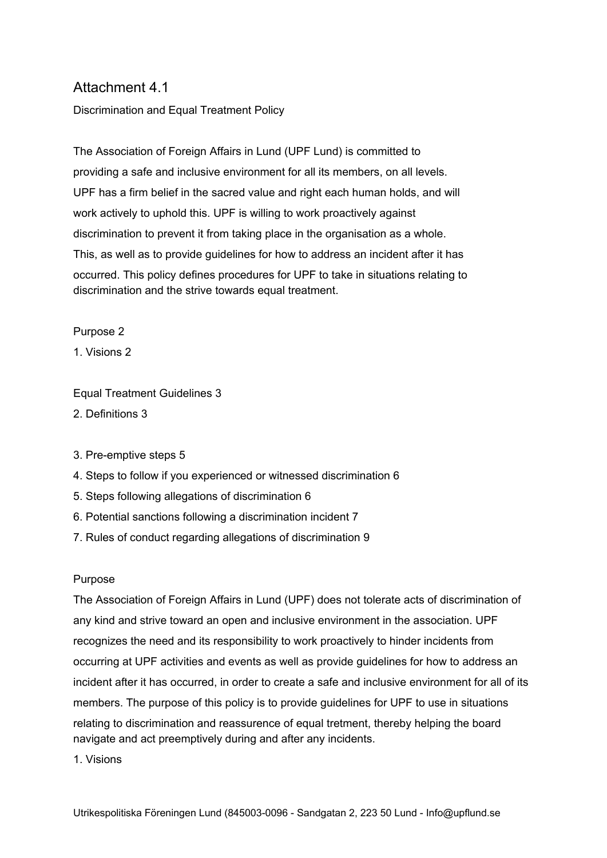# Attachment 4.1

Discrimination and Equal Treatment Policy

The Association of Foreign Affairs in Lund (UPF Lund) is committed to providing a safe and inclusive environment for all its members, on all levels. UPF has a firm belief in the sacred value and right each human holds, and will work actively to uphold this. UPF is willing to work proactively against discrimination to prevent it from taking place in the organisation as a whole. This, as well as to provide guidelines for how to address an incident after it has occurred. This policy defines procedures for UPF to take in situations relating to discrimination and the strive towards equal treatment.

#### Purpose 2

1. Visions 2

Equal Treatment Guidelines 3

2. Definitions 3

- 3. Pre-emptive steps 5
- 4. Steps to follow if you experienced or witnessed discrimination 6
- 5. Steps following allegations of discrimination 6
- 6. Potential sanctions following a discrimination incident 7
- 7. Rules of conduct regarding allegations of discrimination 9

#### Purpose

The Association of Foreign Affairs in Lund (UPF) does not tolerate acts of discrimination of any kind and strive toward an open and inclusive environment in the association. UPF recognizes the need and its responsibility to work proactively to hinder incidents from occurring at UPF activities and events as well as provide guidelines for how to address an incident after it has occurred, in order to create a safe and inclusive environment for all of its members. The purpose of this policy is to provide guidelines for UPF to use in situations relating to discrimination and reassurence of equal tretment, thereby helping the board navigate and act preemptively during and after any incidents.

1. Visions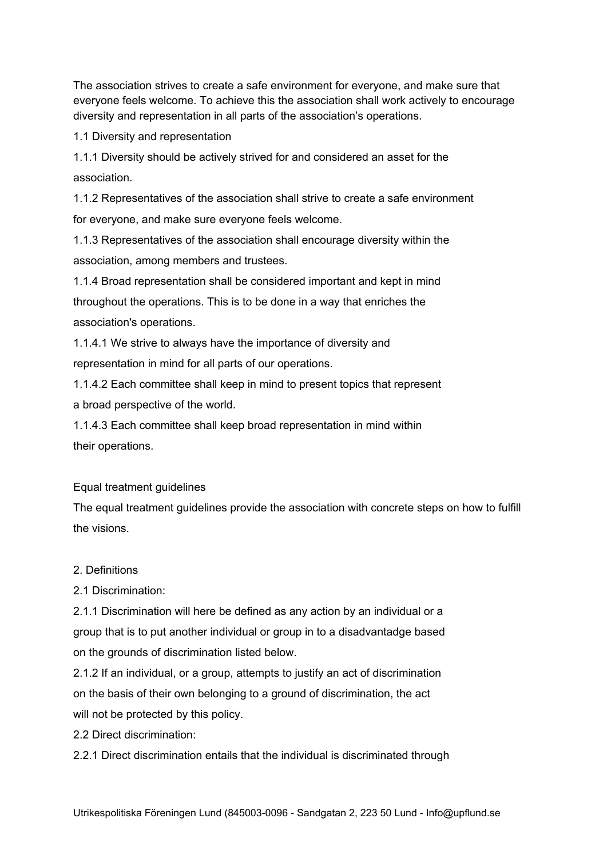The association strives to create a safe environment for everyone, and make sure that everyone feels welcome. To achieve this the association shall work actively to encourage diversity and representation in all parts of the association's operations.

1.1 Diversity and representation

1.1.1 Diversity should be actively strived for and considered an asset for the association.

1.1.2 Representatives of the association shall strive to create a safe environment for everyone, and make sure everyone feels welcome.

1.1.3 Representatives of the association shall encourage diversity within the association, among members and trustees.

1.1.4 Broad representation shall be considered important and kept in mind throughout the operations. This is to be done in a way that enriches the association's operations.

1.1.4.1 We strive to always have the importance of diversity and representation in mind for all parts of our operations.

1.1.4.2 Each committee shall keep in mind to present topics that represent a broad perspective of the world.

1.1.4.3 Each committee shall keep broad representation in mind within their operations.

Equal treatment guidelines

The equal treatment guidelines provide the association with concrete steps on how to fulfill the visions.

### 2. Definitions

2.1 Discrimination:

2.1.1 Discrimination will here be defined as any action by an individual or a group that is to put another individual or group in to a disadvantadge based on the grounds of discrimination listed below.

2.1.2 If an individual, or a group, attempts to justify an act of discrimination on the basis of their own belonging to a ground of discrimination, the act will not be protected by this policy.

2.2 Direct discrimination:

2.2.1 Direct discrimination entails that the individual is discriminated through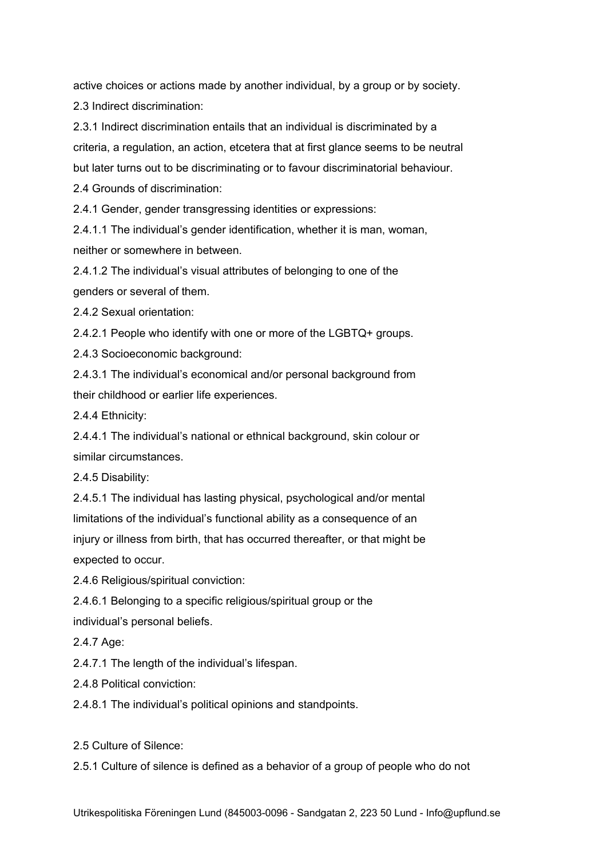active choices or actions made by another individual, by a group or by society. 2.3 Indirect discrimination:

2.3.1 Indirect discrimination entails that an individual is discriminated by a criteria, a regulation, an action, etcetera that at first glance seems to be neutral but later turns out to be discriminating or to favour discriminatorial behaviour. 2.4 Grounds of discrimination:

2.4.1 Gender, gender transgressing identities or expressions:

2.4.1.1 The individual's gender identification, whether it is man, woman, neither or somewhere in between.

2.4.1.2 The individual's visual attributes of belonging to one of the genders or several of them.

2.4.2 Sexual orientation:

2.4.2.1 People who identify with one or more of the LGBTQ+ groups.

2.4.3 Socioeconomic background:

2.4.3.1 The individual's economical and/or personal background from their childhood or earlier life experiences.

2.4.4 Ethnicity:

2.4.4.1 The individual's national or ethnical background, skin colour or similar circumstances.

2.4.5 Disability:

2.4.5.1 The individual has lasting physical, psychological and/or mental limitations of the individual's functional ability as a consequence of an injury or illness from birth, that has occurred thereafter, or that might be expected to occur.

2.4.6 Religious/spiritual conviction:

2.4.6.1 Belonging to a specific religious/spiritual group or the individual's personal beliefs.

2.4.7 Age:

2.4.7.1 The length of the individual's lifespan.

2.4.8 Political conviction:

2.4.8.1 The individual's political opinions and standpoints.

2.5 Culture of Silence:

2.5.1 Culture of silence is defined as a behavior of a group of people who do not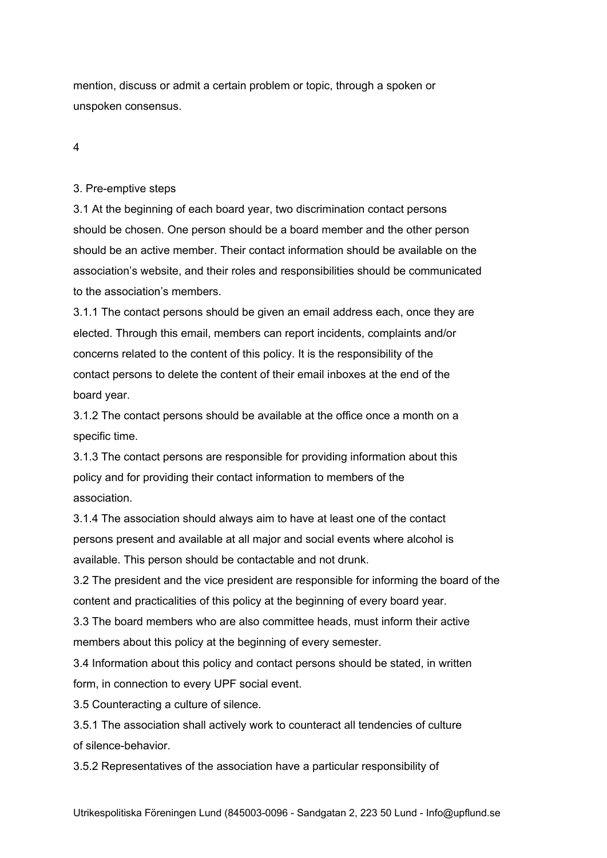mention, discuss or admit a certain problem or topic, through a spoken or unspoken consensus.

4

#### 3. Pre-emptive steps

3.1 At the beginning of each board year, two discrimination contact persons should be chosen. One person should be a board member and the other person should be an active member. Their contact information should be available on the association's website, and their roles and responsibilities should be communicated to the association's members.

3.1.1 The contact persons should be given an email address each, once they are elected. Through this email, members can report incidents, complaints and/or concerns related to the content of this policy. It is the responsibility of the contact persons to delete the content of their email inboxes at the end of the board year.

3.1.2 The contact persons should be available at the office once a month on a specific time.

3.1.3 The contact persons are responsible for providing information about this policy and for providing their contact information to members of the association.

3.1.4 The association should always aim to have at least one of the contact persons present and available at all major and social events where alcohol is available. This person should be contactable and not drunk.

3.2 The president and the vice president are responsible for informing the board of the content and practicalities of this policy at the beginning of every board year.

3.3 The board members who are also committee heads, must inform their active members about this policy at the beginning of every semester.

3.4 Information about this policy and contact persons should be stated, in written form, in connection to every UPF social event.

3.5 Counteracting a culture of silence.

3.5.1 The association shall actively work to counteract all tendencies of culture of silence-behavior.

3.5.2 Representatives of the association have a particular responsibility of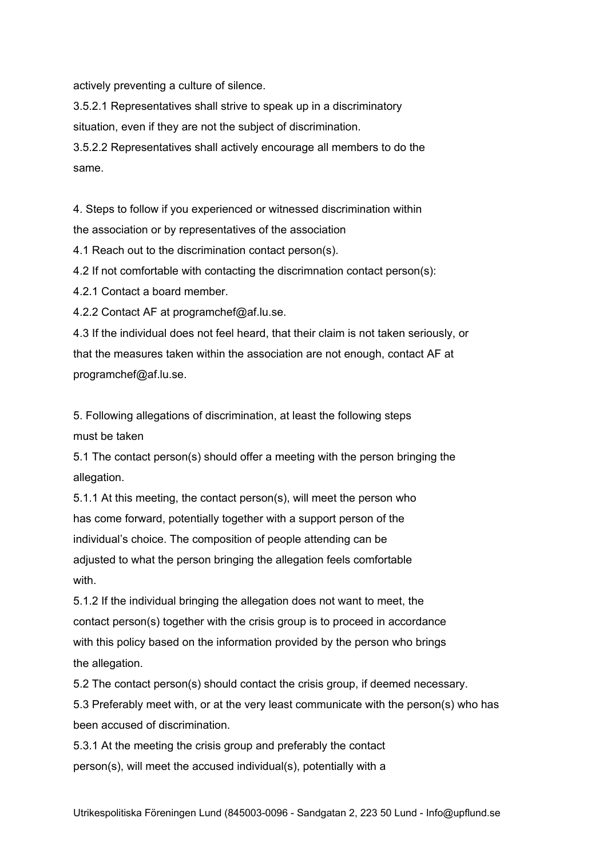actively preventing a culture of silence.

3.5.2.1 Representatives shall strive to speak up in a discriminatory situation, even if they are not the subject of discrimination.

3.5.2.2 Representatives shall actively encourage all members to do the same.

4. Steps to follow if you experienced or witnessed discrimination within the association or by representatives of the association

4.1 Reach out to the discrimination contact person(s).

4.2 If not comfortable with contacting the discrimnation contact person(s):

4.2.1 Contact a board member.

4.2.2 Contact AF at programchef@af.lu.se.

4.3 If the individual does not feel heard, that their claim is not taken seriously, or that the measures taken within the association are not enough, contact AF at programchef@af.lu.se.

5. Following allegations of discrimination, at least the following steps must be taken

5.1 The contact person(s) should offer a meeting with the person bringing the allegation.

5.1.1 At this meeting, the contact person(s), will meet the person who has come forward, potentially together with a support person of the individual's choice. The composition of people attending can be adjusted to what the person bringing the allegation feels comfortable with.

5.1.2 If the individual bringing the allegation does not want to meet, the contact person(s) together with the crisis group is to proceed in accordance with this policy based on the information provided by the person who brings the allegation.

5.2 The contact person(s) should contact the crisis group, if deemed necessary.

5.3 Preferably meet with, or at the very least communicate with the person(s) who has been accused of discrimination.

5.3.1 At the meeting the crisis group and preferably the contact person(s), will meet the accused individual(s), potentially with a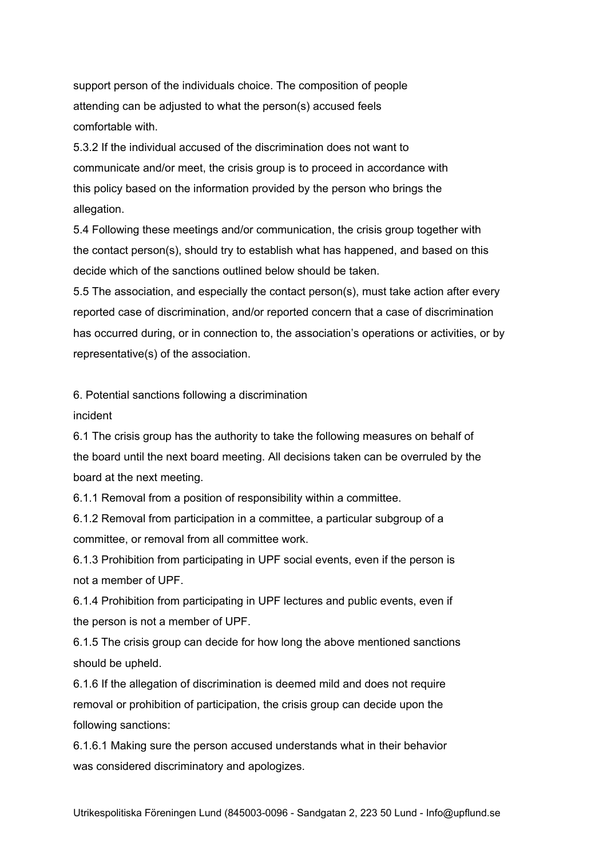support person of the individuals choice. The composition of people attending can be adjusted to what the person(s) accused feels comfortable with.

5.3.2 If the individual accused of the discrimination does not want to communicate and/or meet, the crisis group is to proceed in accordance with this policy based on the information provided by the person who brings the allegation.

5.4 Following these meetings and/or communication, the crisis group together with the contact person(s), should try to establish what has happened, and based on this decide which of the sanctions outlined below should be taken.

5.5 The association, and especially the contact person(s), must take action after every reported case of discrimination, and/or reported concern that a case of discrimination has occurred during, or in connection to, the association's operations or activities, or by representative(s) of the association.

6. Potential sanctions following a discrimination

incident

6.1 The crisis group has the authority to take the following measures on behalf of the board until the next board meeting. All decisions taken can be overruled by the board at the next meeting.

6.1.1 Removal from a position of responsibility within a committee.

6.1.2 Removal from participation in a committee, a particular subgroup of a committee, or removal from all committee work.

6.1.3 Prohibition from participating in UPF social events, even if the person is not a member of UPF.

6.1.4 Prohibition from participating in UPF lectures and public events, even if the person is not a member of UPF.

6.1.5 The crisis group can decide for how long the above mentioned sanctions should be upheld.

6.1.6 If the allegation of discrimination is deemed mild and does not require removal or prohibition of participation, the crisis group can decide upon the following sanctions:

6.1.6.1 Making sure the person accused understands what in their behavior was considered discriminatory and apologizes.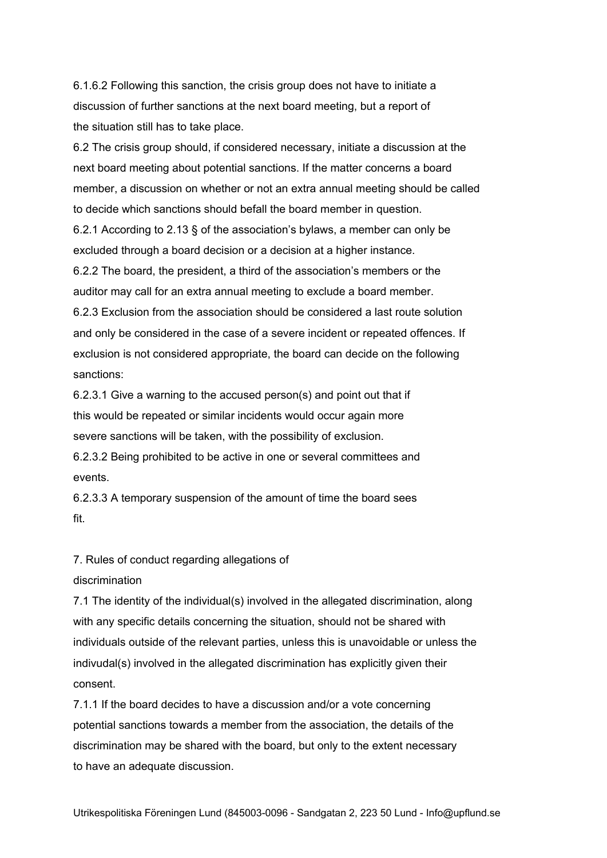6.1.6.2 Following this sanction, the crisis group does not have to initiate a discussion of further sanctions at the next board meeting, but a report of the situation still has to take place.

6.2 The crisis group should, if considered necessary, initiate a discussion at the next board meeting about potential sanctions. If the matter concerns a board member, a discussion on whether or not an extra annual meeting should be called to decide which sanctions should befall the board member in question. 6.2.1 According to 2.13 § of the association's bylaws, a member can only be excluded through a board decision or a decision at a higher instance. 6.2.2 The board, the president, a third of the association's members or the auditor may call for an extra annual meeting to exclude a board member. 6.2.3 Exclusion from the association should be considered a last route solution and only be considered in the case of a severe incident or repeated offences. If exclusion is not considered appropriate, the board can decide on the following sanctions:

6.2.3.1 Give a warning to the accused person(s) and point out that if this would be repeated or similar incidents would occur again more severe sanctions will be taken, with the possibility of exclusion.

6.2.3.2 Being prohibited to be active in one or several committees and events.

6.2.3.3 A temporary suspension of the amount of time the board sees fit.

7. Rules of conduct regarding allegations of

#### discrimination

7.1 The identity of the individual(s) involved in the allegated discrimination, along with any specific details concerning the situation, should not be shared with individuals outside of the relevant parties, unless this is unavoidable or unless the indivudal(s) involved in the allegated discrimination has explicitly given their consent.

7.1.1 If the board decides to have a discussion and/or a vote concerning potential sanctions towards a member from the association, the details of the discrimination may be shared with the board, but only to the extent necessary to have an adequate discussion.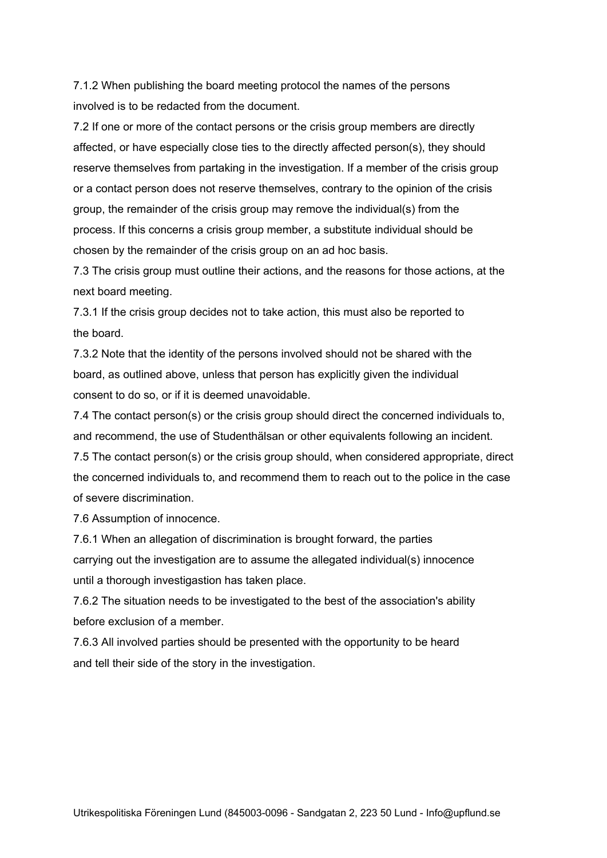7.1.2 When publishing the board meeting protocol the names of the persons involved is to be redacted from the document.

7.2 If one or more of the contact persons or the crisis group members are directly affected, or have especially close ties to the directly affected person(s), they should reserve themselves from partaking in the investigation. If a member of the crisis group or a contact person does not reserve themselves, contrary to the opinion of the crisis group, the remainder of the crisis group may remove the individual(s) from the process. If this concerns a crisis group member, a substitute individual should be chosen by the remainder of the crisis group on an ad hoc basis.

7.3 The crisis group must outline their actions, and the reasons for those actions, at the next board meeting.

7.3.1 If the crisis group decides not to take action, this must also be reported to the board.

7.3.2 Note that the identity of the persons involved should not be shared with the board, as outlined above, unless that person has explicitly given the individual consent to do so, or if it is deemed unavoidable.

7.4 The contact person(s) or the crisis group should direct the concerned individuals to, and recommend, the use of Studenthälsan or other equivalents following an incident.

7.5 The contact person(s) or the crisis group should, when considered appropriate, direct the concerned individuals to, and recommend them to reach out to the police in the case of severe discrimination.

7.6 Assumption of innocence.

7.6.1 When an allegation of discrimination is brought forward, the parties carrying out the investigation are to assume the allegated individual(s) innocence until a thorough investigastion has taken place.

7.6.2 The situation needs to be investigated to the best of the association's ability before exclusion of a member.

7.6.3 All involved parties should be presented with the opportunity to be heard and tell their side of the story in the investigation.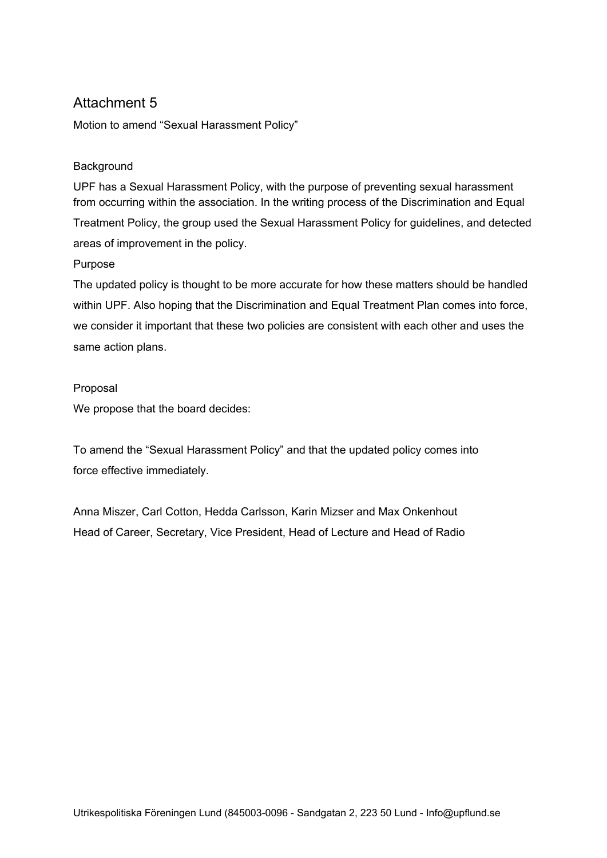# Attachment 5

Motion to amend "Sexual Harassment Policy"

### **Background**

UPF has a Sexual Harassment Policy, with the purpose of preventing sexual harassment from occurring within the association. In the writing process of the Discrimination and Equal Treatment Policy, the group used the Sexual Harassment Policy for guidelines, and detected areas of improvement in the policy.

#### Purpose

The updated policy is thought to be more accurate for how these matters should be handled within UPF. Also hoping that the Discrimination and Equal Treatment Plan comes into force, we consider it important that these two policies are consistent with each other and uses the same action plans.

#### Proposal

We propose that the board decides:

To amend the "Sexual Harassment Policy" and that the updated policy comes into force effective immediately.

Anna Miszer, Carl Cotton, Hedda Carlsson, Karin Mizser and Max Onkenhout Head of Career, Secretary, Vice President, Head of Lecture and Head of Radio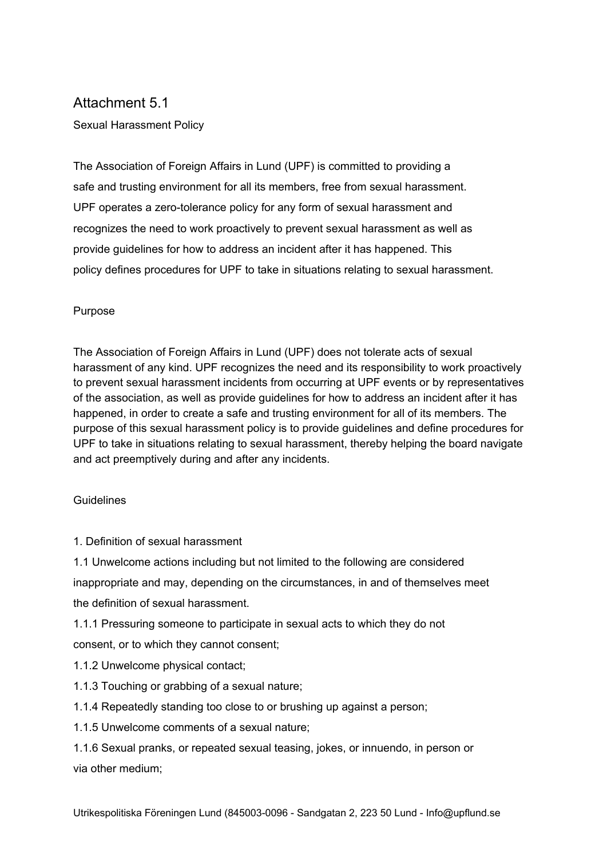# Attachment 5.1

Sexual Harassment Policy

The Association of Foreign Affairs in Lund (UPF) is committed to providing a safe and trusting environment for all its members, free from sexual harassment. UPF operates a zero-tolerance policy for any form of sexual harassment and recognizes the need to work proactively to prevent sexual harassment as well as provide guidelines for how to address an incident after it has happened. This policy defines procedures for UPF to take in situations relating to sexual harassment.

#### Purpose

The Association of Foreign Affairs in Lund (UPF) does not tolerate acts of sexual harassment of any kind. UPF recognizes the need and its responsibility to work proactively to prevent sexual harassment incidents from occurring at UPF events or by representatives of the association, as well as provide guidelines for how to address an incident after it has happened, in order to create a safe and trusting environment for all of its members. The purpose of this sexual harassment policy is to provide guidelines and define procedures for UPF to take in situations relating to sexual harassment, thereby helping the board navigate and act preemptively during and after any incidents.

### **Guidelines**

1. Definition of sexual harassment

1.1 Unwelcome actions including but not limited to the following are considered inappropriate and may, depending on the circumstances, in and of themselves meet the definition of sexual harassment.

1.1.1 Pressuring someone to participate in sexual acts to which they do not

consent, or to which they cannot consent;

- 1.1.2 Unwelcome physical contact;
- 1.1.3 Touching or grabbing of a sexual nature;
- 1.1.4 Repeatedly standing too close to or brushing up against a person;
- 1.1.5 Unwelcome comments of a sexual nature;

1.1.6 Sexual pranks, or repeated sexual teasing, jokes, or innuendo, in person or via other medium;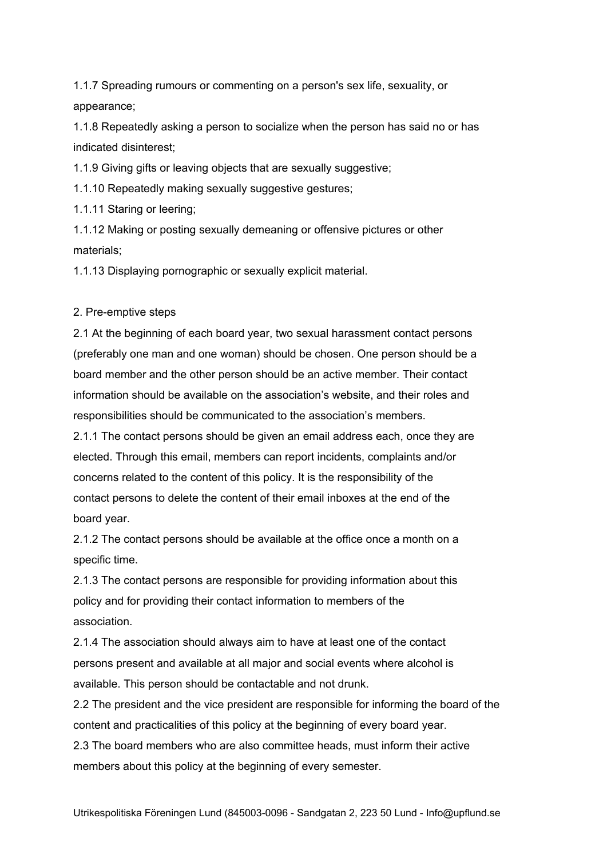1.1.7 Spreading rumours or commenting on a person's sex life, sexuality, or appearance;

1.1.8 Repeatedly asking a person to socialize when the person has said no or has indicated disinterest;

1.1.9 Giving gifts or leaving objects that are sexually suggestive;

1.1.10 Repeatedly making sexually suggestive gestures;

1.1.11 Staring or leering;

1.1.12 Making or posting sexually demeaning or offensive pictures or other materials;

1.1.13 Displaying pornographic or sexually explicit material.

#### 2. Pre-emptive steps

2.1 At the beginning of each board year, two sexual harassment contact persons (preferably one man and one woman) should be chosen. One person should be a board member and the other person should be an active member. Their contact information should be available on the association's website, and their roles and responsibilities should be communicated to the association's members.

2.1.1 The contact persons should be given an email address each, once they are elected. Through this email, members can report incidents, complaints and/or concerns related to the content of this policy. It is the responsibility of the contact persons to delete the content of their email inboxes at the end of the board year.

2.1.2 The contact persons should be available at the office once a month on a specific time.

2.1.3 The contact persons are responsible for providing information about this policy and for providing their contact information to members of the association.

2.1.4 The association should always aim to have at least one of the contact persons present and available at all major and social events where alcohol is available. This person should be contactable and not drunk.

2.2 The president and the vice president are responsible for informing the board of the content and practicalities of this policy at the beginning of every board year.

2.3 The board members who are also committee heads, must inform their active members about this policy at the beginning of every semester.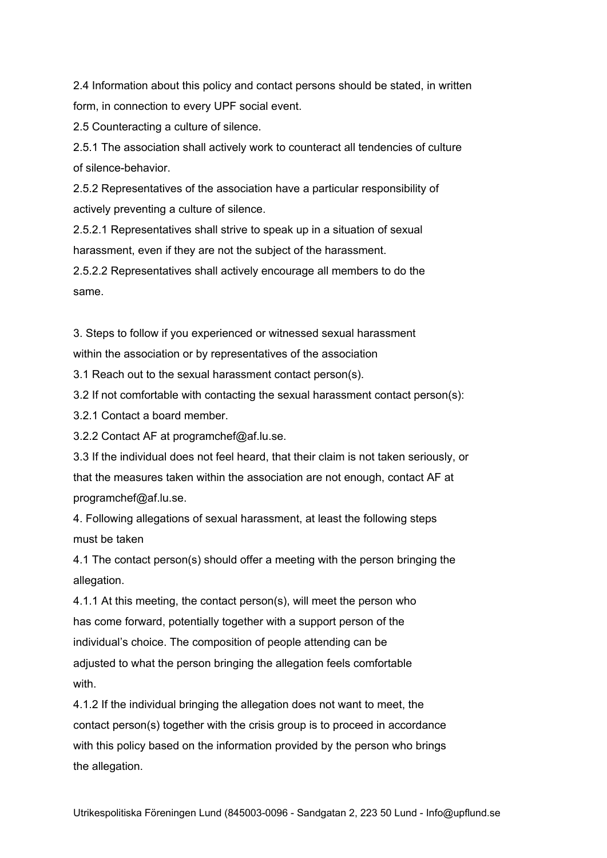2.4 Information about this policy and contact persons should be stated, in written form, in connection to every UPF social event.

2.5 Counteracting a culture of silence.

2.5.1 The association shall actively work to counteract all tendencies of culture of silence-behavior.

2.5.2 Representatives of the association have a particular responsibility of actively preventing a culture of silence.

2.5.2.1 Representatives shall strive to speak up in a situation of sexual harassment, even if they are not the subject of the harassment.

2.5.2.2 Representatives shall actively encourage all members to do the same.

3. Steps to follow if you experienced or witnessed sexual harassment

within the association or by representatives of the association

3.1 Reach out to the sexual harassment contact person(s).

3.2 If not comfortable with contacting the sexual harassment contact person(s):

3.2.1 Contact a board member.

3.2.2 Contact AF at programchef@af.lu.se.

3.3 If the individual does not feel heard, that their claim is not taken seriously, or that the measures taken within the association are not enough, contact AF at programchef@af.lu.se.

4. Following allegations of sexual harassment, at least the following steps must be taken

4.1 The contact person(s) should offer a meeting with the person bringing the allegation.

4.1.1 At this meeting, the contact person(s), will meet the person who has come forward, potentially together with a support person of the individual's choice. The composition of people attending can be adjusted to what the person bringing the allegation feels comfortable with.

4.1.2 If the individual bringing the allegation does not want to meet, the contact person(s) together with the crisis group is to proceed in accordance with this policy based on the information provided by the person who brings the allegation.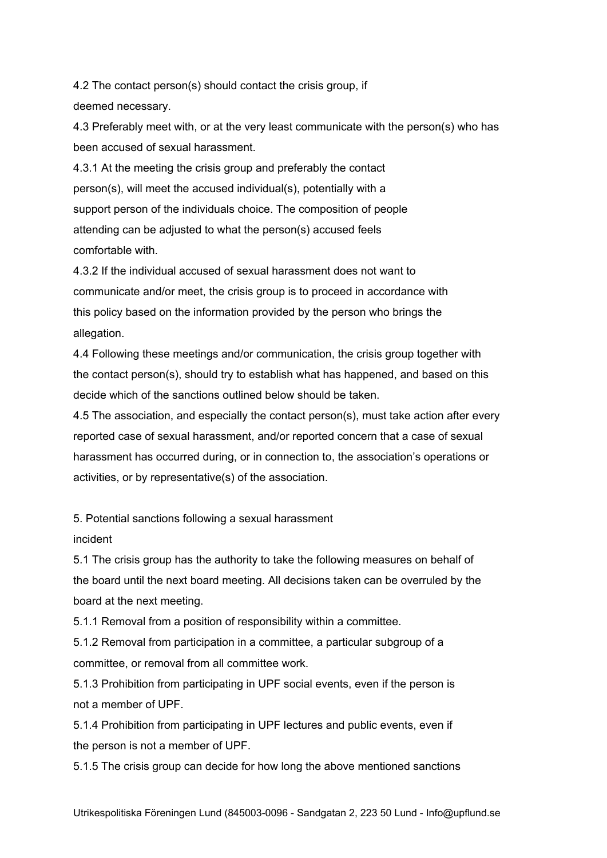4.2 The contact person(s) should contact the crisis group, if deemed necessary.

4.3 Preferably meet with, or at the very least communicate with the person(s) who has been accused of sexual harassment.

4.3.1 At the meeting the crisis group and preferably the contact person(s), will meet the accused individual(s), potentially with a support person of the individuals choice. The composition of people attending can be adjusted to what the person(s) accused feels comfortable with.

4.3.2 If the individual accused of sexual harassment does not want to communicate and/or meet, the crisis group is to proceed in accordance with this policy based on the information provided by the person who brings the allegation.

4.4 Following these meetings and/or communication, the crisis group together with the contact person(s), should try to establish what has happened, and based on this decide which of the sanctions outlined below should be taken.

4.5 The association, and especially the contact person(s), must take action after every reported case of sexual harassment, and/or reported concern that a case of sexual harassment has occurred during, or in connection to, the association's operations or activities, or by representative(s) of the association.

5. Potential sanctions following a sexual harassment

### incident

5.1 The crisis group has the authority to take the following measures on behalf of the board until the next board meeting. All decisions taken can be overruled by the board at the next meeting.

5.1.1 Removal from a position of responsibility within a committee.

5.1.2 Removal from participation in a committee, a particular subgroup of a committee, or removal from all committee work.

5.1.3 Prohibition from participating in UPF social events, even if the person is not a member of UPF.

5.1.4 Prohibition from participating in UPF lectures and public events, even if the person is not a member of UPF.

5.1.5 The crisis group can decide for how long the above mentioned sanctions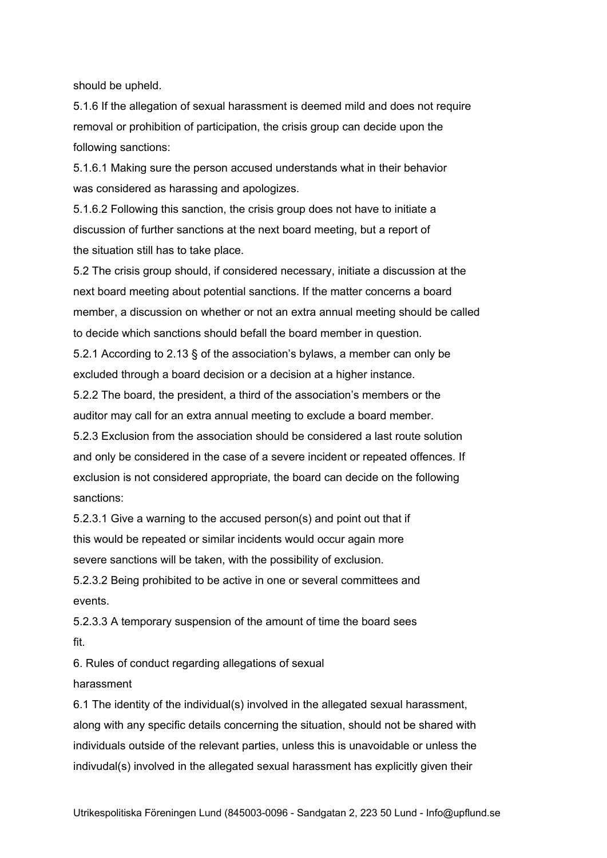should be upheld.

5.1.6 If the allegation of sexual harassment is deemed mild and does not require removal or prohibition of participation, the crisis group can decide upon the following sanctions:

5.1.6.1 Making sure the person accused understands what in their behavior was considered as harassing and apologizes.

5.1.6.2 Following this sanction, the crisis group does not have to initiate a discussion of further sanctions at the next board meeting, but a report of the situation still has to take place.

5.2 The crisis group should, if considered necessary, initiate a discussion at the next board meeting about potential sanctions. If the matter concerns a board member, a discussion on whether or not an extra annual meeting should be called to decide which sanctions should befall the board member in question.

5.2.1 According to 2.13 § of the association's bylaws, a member can only be excluded through a board decision or a decision at a higher instance.

5.2.2 The board, the president, a third of the association's members or the auditor may call for an extra annual meeting to exclude a board member.

5.2.3 Exclusion from the association should be considered a last route solution and only be considered in the case of a severe incident or repeated offences. If exclusion is not considered appropriate, the board can decide on the following sanctions:

5.2.3.1 Give a warning to the accused person(s) and point out that if this would be repeated or similar incidents would occur again more severe sanctions will be taken, with the possibility of exclusion.

5.2.3.2 Being prohibited to be active in one or several committees and events.

5.2.3.3 A temporary suspension of the amount of time the board sees fit.

6. Rules of conduct regarding allegations of sexual

harassment

6.1 The identity of the individual(s) involved in the allegated sexual harassment, along with any specific details concerning the situation, should not be shared with individuals outside of the relevant parties, unless this is unavoidable or unless the indivudal(s) involved in the allegated sexual harassment has explicitly given their